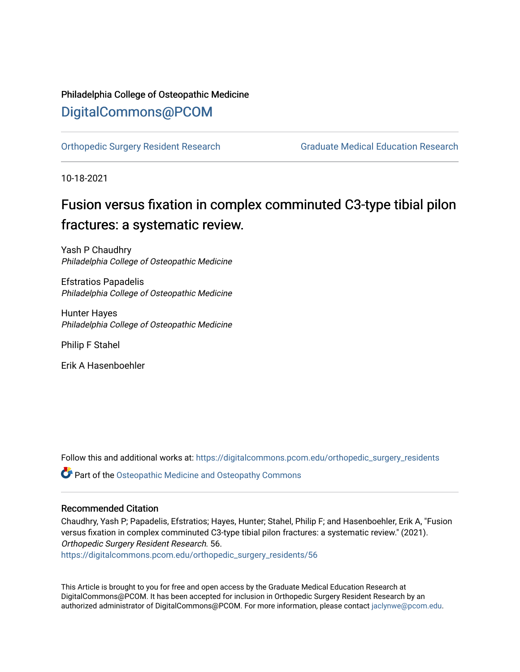## Philadelphia College of Osteopathic Medicine [DigitalCommons@PCOM](https://digitalcommons.pcom.edu/)

[Orthopedic Surgery Resident Research](https://digitalcommons.pcom.edu/orthopedic_surgery_residents) [Graduate Medical Education Research](https://digitalcommons.pcom.edu/graduate_medical_education_research) 

10-18-2021

# Fusion versus fixation in complex comminuted C3-type tibial pilon fractures: a systematic review.

Yash P Chaudhry Philadelphia College of Osteopathic Medicine

Efstratios Papadelis Philadelphia College of Osteopathic Medicine

Hunter Hayes Philadelphia College of Osteopathic Medicine

Philip F Stahel

Erik A Hasenboehler

Follow this and additional works at: [https://digitalcommons.pcom.edu/orthopedic\\_surgery\\_residents](https://digitalcommons.pcom.edu/orthopedic_surgery_residents?utm_source=digitalcommons.pcom.edu%2Forthopedic_surgery_residents%2F56&utm_medium=PDF&utm_campaign=PDFCoverPages) 

**Part of the Osteopathic Medicine and Osteopathy Commons** 

### Recommended Citation

Chaudhry, Yash P; Papadelis, Efstratios; Hayes, Hunter; Stahel, Philip F; and Hasenboehler, Erik A, "Fusion versus fixation in complex comminuted C3-type tibial pilon fractures: a systematic review." (2021). Orthopedic Surgery Resident Research. 56.

[https://digitalcommons.pcom.edu/orthopedic\\_surgery\\_residents/56](https://digitalcommons.pcom.edu/orthopedic_surgery_residents/56?utm_source=digitalcommons.pcom.edu%2Forthopedic_surgery_residents%2F56&utm_medium=PDF&utm_campaign=PDFCoverPages)

This Article is brought to you for free and open access by the Graduate Medical Education Research at DigitalCommons@PCOM. It has been accepted for inclusion in Orthopedic Surgery Resident Research by an authorized administrator of DigitalCommons@PCOM. For more information, please contact [jaclynwe@pcom.edu](mailto:jaclynwe@pcom.edu).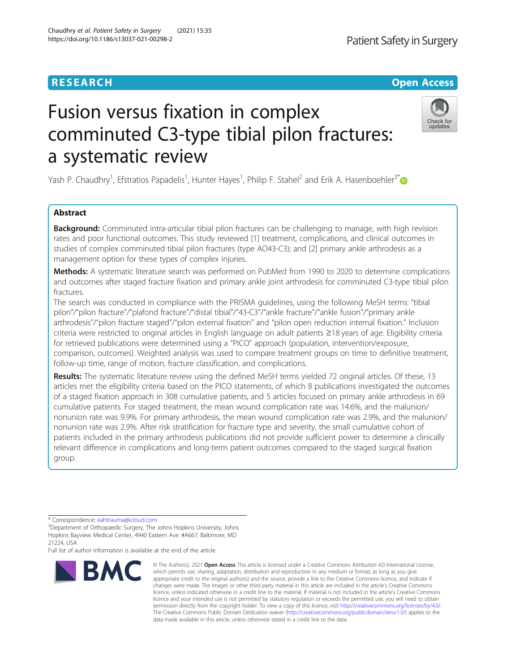# Fusion versus fixation in complex comminuted C3-type tibial pilon fractures: a systematic review

Yash P. Chaudhry<sup>1</sup>, Efstratios Papadelis<sup>1</sup>, Hunter Hayes<sup>1</sup>, Philip F. Stahel<sup>2</sup> and Erik A. Hasenboehler<sup>3\*</sup>

#### Abstract

**Background:** Comminuted intra-articular tibial pilon fractures can be challenging to manage, with high revision rates and poor functional outcomes. This study reviewed [1] treatment, complications, and clinical outcomes in studies of complex comminuted tibial pilon fractures (type AO43-C3); and [2] primary ankle arthrodesis as a management option for these types of complex injuries.

Methods: A systematic literature search was performed on PubMed from 1990 to 2020 to determine complications and outcomes after staged fracture fixation and primary ankle joint arthrodesis for comminuted C3-type tibial pilon fractures.

The search was conducted in compliance with the PRISMA guidelines, using the following MeSH terms: "tibial pilon"/"pilon fracture"/"plafond fracture"/"distal tibial"/"43-C3"/"ankle fracture"/"ankle fusion"/"primary ankle arthrodesis"/"pilon fracture staged"/"pilon external fixation" and "pilon open reduction internal fixation." Inclusion criteria were restricted to original articles in English language on adult patients ≥18 years of age. Eligibility criteria for retrieved publications were determined using a "PICO" approach (population, intervention/exposure, comparison, outcomes). Weighted analysis was used to compare treatment groups on time to definitive treatment, follow-up time, range of motion, fracture classification, and complications.

Results: The systematic literature review using the defined MeSH terms yielded 72 original articles. Of these, 13 articles met the eligibility criteria based on the PICO statements, of which 8 publications investigated the outcomes of a staged fixation approach in 308 cumulative patients, and 5 articles focused on primary ankle arthrodesis in 69 cumulative patients. For staged treatment, the mean wound complication rate was 14.6%, and the malunion/ nonunion rate was 9.9%. For primary arthrodesis, the mean wound complication rate was 2.9%, and the malunion/ nonunion rate was 2.9%. After risk stratification for fracture type and severity, the small cumulative cohort of patients included in the primary arthrodesis publications did not provide sufficient power to determine a clinically relevant difference in complications and long-term patient outcomes compared to the staged surgical fixation group.

**BMC** 

Full list of author information is available at the end of the article

#### © The Author(s), 2021 **Open Access** This article is licensed under a Creative Commons Attribution 4.0 International License, which permits use, sharing, adaptation, distribution and reproduction in any medium or format, as long as you give appropriate credit to the original author(s) and the source, provide a link to the Creative Commons licence, and indicate if changes were made. The images or other third party material in this article are included in the article's Creative Commons licence, unless indicated otherwise in a credit line to the material. If material is not included in the article's Creative Commons licence and your intended use is not permitted by statutory regulation or exceeds the permitted use, you will need to obtain permission directly from the copyright holder. To view a copy of this licence, visit [http://creativecommons.org/licenses/by/4.0/.](http://creativecommons.org/licenses/by/4.0/) The Creative Commons Public Domain Dedication waiver [\(http://creativecommons.org/publicdomain/zero/1.0/](http://creativecommons.org/publicdomain/zero/1.0/)) applies to the data made available in this article, unless otherwise stated in a credit line to the data.

Chaudhry et al. Patient Safety in Surgery (2021) 15:35 https://doi.org/10.1186/s13037-021-00298-2







<sup>\*</sup> Correspondence: [eahtrauma@icloud.com](mailto:eahtrauma@icloud.com) <sup>3</sup>

<sup>&</sup>lt;sup>3</sup>Department of Orthopaedic Surgery, The Johns Hopkins University, Johns Hopkins Bayview Medical Center, 4940 Eastern Ave. #A667, Baltimore, MD 21224, USA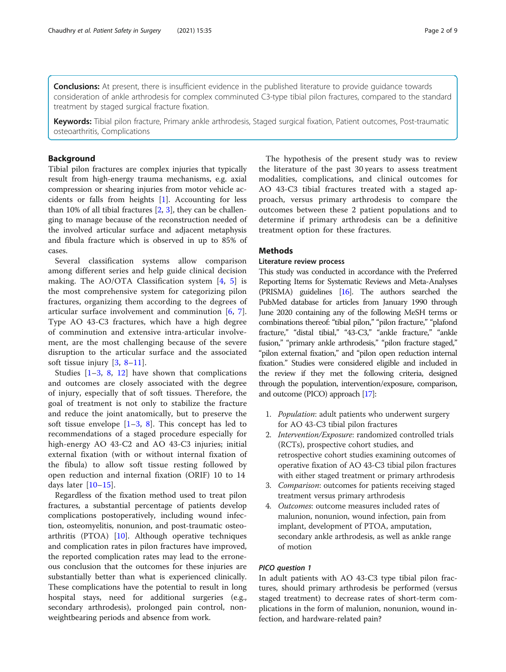**Conclusions:** At present, there is insufficient evidence in the published literature to provide quidance towards consideration of ankle arthrodesis for complex comminuted C3-type tibial pilon fractures, compared to the standard treatment by staged surgical fracture fixation.

Keywords: Tibial pilon fracture, Primary ankle arthrodesis, Staged surgical fixation, Patient outcomes, Post-traumatic osteoarthritis, Complications

#### **Background**

Tibial pilon fractures are complex injuries that typically result from high-energy trauma mechanisms, e.g. axial compression or shearing injuries from motor vehicle accidents or falls from heights [\[1](#page-8-0)]. Accounting for less than 10% of all tibial fractures  $[2, 3]$  $[2, 3]$  $[2, 3]$  $[2, 3]$ , they can be challenging to manage because of the reconstruction needed of the involved articular surface and adjacent metaphysis and fibula fracture which is observed in up to 85% of cases.

Several classification systems allow comparison among different series and help guide clinical decision making. The AO/OTA Classification system [\[4](#page-8-0), [5\]](#page-8-0) is the most comprehensive system for categorizing pilon fractures, organizing them according to the degrees of articular surface involvement and comminution [[6,](#page-8-0) [7](#page-8-0)]. Type AO 43-C3 fractures, which have a high degree of comminution and extensive intra-articular involvement, are the most challenging because of the severe disruption to the articular surface and the associated soft tissue injury  $[3, 8-11]$  $[3, 8-11]$  $[3, 8-11]$  $[3, 8-11]$  $[3, 8-11]$  $[3, 8-11]$  $[3, 8-11]$ .

Studies  $[1-3, 8, 12]$  $[1-3, 8, 12]$  $[1-3, 8, 12]$  $[1-3, 8, 12]$  $[1-3, 8, 12]$  $[1-3, 8, 12]$  $[1-3, 8, 12]$  $[1-3, 8, 12]$  have shown that complications and outcomes are closely associated with the degree of injury, especially that of soft tissues. Therefore, the goal of treatment is not only to stabilize the fracture and reduce the joint anatomically, but to preserve the soft tissue envelope  $[1-3, 8]$  $[1-3, 8]$  $[1-3, 8]$  $[1-3, 8]$  $[1-3, 8]$  $[1-3, 8]$ . This concept has led to recommendations of a staged procedure especially for high-energy AO 43-C2 and AO 43-C3 injuries; initial external fixation (with or without internal fixation of the fibula) to allow soft tissue resting followed by open reduction and internal fixation (ORIF) 10 to 14 days later  $[10-15]$  $[10-15]$  $[10-15]$  $[10-15]$ .

Regardless of the fixation method used to treat pilon fractures, a substantial percentage of patients develop complications postoperatively, including wound infection, osteomyelitis, nonunion, and post-traumatic osteoarthritis (PTOA) [\[10](#page-8-0)]. Although operative techniques and complication rates in pilon fractures have improved, the reported complication rates may lead to the erroneous conclusion that the outcomes for these injuries are substantially better than what is experienced clinically. These complications have the potential to result in long hospital stays, need for additional surgeries (e.g., secondary arthrodesis), prolonged pain control, nonweightbearing periods and absence from work.

The hypothesis of the present study was to review the literature of the past 30 years to assess treatment modalities, complications, and clinical outcomes for AO 43-C3 tibial fractures treated with a staged approach, versus primary arthrodesis to compare the outcomes between these 2 patient populations and to determine if primary arthrodesis can be a definitive treatment option for these fractures.

#### **Methods**

#### Literature review process

This study was conducted in accordance with the Preferred Reporting Items for Systematic Reviews and Meta-Analyses (PRISMA) guidelines [\[16](#page-9-0)]. The authors searched the PubMed database for articles from January 1990 through June 2020 containing any of the following MeSH terms or combinations thereof: "tibial pilon," "pilon fracture," "plafond fracture," "distal tibial," "43-C3," "ankle fracture," "ankle fusion," "primary ankle arthrodesis," "pilon fracture staged," "pilon external fixation," and "pilon open reduction internal fixation." Studies were considered eligible and included in the review if they met the following criteria, designed through the population, intervention/exposure, comparison, and outcome (PICO) approach [\[17](#page-9-0)]:

- 1. Population: adult patients who underwent surgery for AO 43-C3 tibial pilon fractures
- 2. Intervention/Exposure: randomized controlled trials (RCTs), prospective cohort studies, and retrospective cohort studies examining outcomes of operative fixation of AO 43-C3 tibial pilon fractures with either staged treatment or primary arthrodesis
- 3. Comparison: outcomes for patients receiving staged treatment versus primary arthrodesis
- 4. Outcomes: outcome measures included rates of malunion, nonunion, wound infection, pain from implant, development of PTOA, amputation, secondary ankle arthrodesis, as well as ankle range of motion

#### PICO question 1

In adult patients with AO 43-C3 type tibial pilon fractures, should primary arthrodesis be performed (versus staged treatment) to decrease rates of short-term complications in the form of malunion, nonunion, wound infection, and hardware-related pain?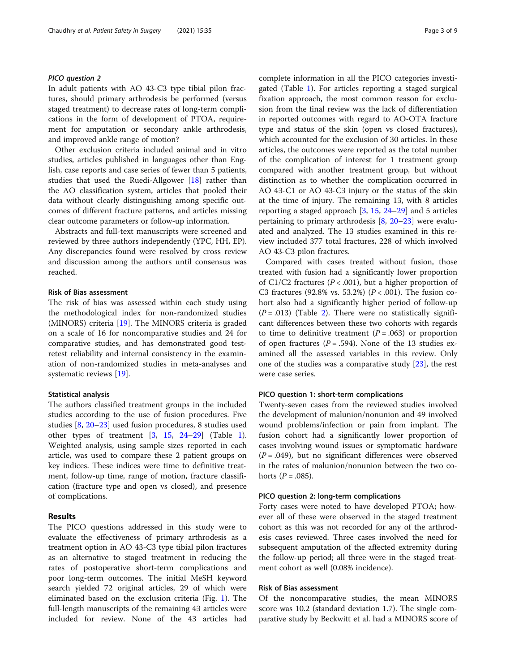#### PICO question 2

In adult patients with AO 43-C3 type tibial pilon fractures, should primary arthrodesis be performed (versus staged treatment) to decrease rates of long-term complications in the form of development of PTOA, requirement for amputation or secondary ankle arthrodesis, and improved ankle range of motion?

Other exclusion criteria included animal and in vitro studies, articles published in languages other than English, case reports and case series of fewer than 5 patients, studies that used the Ruedi-Allgower [[18](#page-9-0)] rather than the AO classification system, articles that pooled their data without clearly distinguishing among specific outcomes of different fracture patterns, and articles missing clear outcome parameters or follow-up information.

Abstracts and full-text manuscripts were screened and reviewed by three authors independently (YPC, HH, EP). Any discrepancies found were resolved by cross review and discussion among the authors until consensus was reached.

#### Risk of Bias assessment

The risk of bias was assessed within each study using the methodological index for non-randomized studies (MINORS) criteria [\[19](#page-9-0)]. The MINORS criteria is graded on a scale of 16 for noncomparative studies and 24 for comparative studies, and has demonstrated good testretest reliability and internal consistency in the examination of non-randomized studies in meta-analyses and systematic reviews [\[19\]](#page-9-0).

#### Statistical analysis

The authors classified treatment groups in the included studies according to the use of fusion procedures. Five studies [\[8,](#page-8-0) [20](#page-9-0)–[23\]](#page-9-0) used fusion procedures, 8 studies used other types of treatment [\[3](#page-8-0), [15](#page-9-0), [24](#page-9-0)–[29\]](#page-9-0) (Table [1](#page-4-0)). Weighted analysis, using sample sizes reported in each article, was used to compare these 2 patient groups on key indices. These indices were time to definitive treatment, follow-up time, range of motion, fracture classification (fracture type and open vs closed), and presence of complications.

#### Results

The PICO questions addressed in this study were to evaluate the effectiveness of primary arthrodesis as a treatment option in AO 43-C3 type tibial pilon fractures as an alternative to staged treatment in reducing the rates of postoperative short-term complications and poor long-term outcomes. The initial MeSH keyword search yielded 72 original articles, 29 of which were eliminated based on the exclusion criteria (Fig. [1\)](#page-5-0). The full-length manuscripts of the remaining 43 articles were included for review. None of the 43 articles had complete information in all the PICO categories investigated (Table [1](#page-4-0)). For articles reporting a staged surgical fixation approach, the most common reason for exclusion from the final review was the lack of differentiation in reported outcomes with regard to AO-OTA fracture type and status of the skin (open vs closed fractures), which accounted for the exclusion of 30 articles. In these articles, the outcomes were reported as the total number of the complication of interest for 1 treatment group compared with another treatment group, but without distinction as to whether the complication occurred in AO 43-C1 or AO 43-C3 injury or the status of the skin at the time of injury. The remaining 13, with 8 articles reporting a staged approach [\[3](#page-8-0), [15](#page-9-0), [24](#page-9-0)–[29](#page-9-0)] and 5 articles pertaining to primary arthrodesis  $[8, 20-23]$  $[8, 20-23]$  $[8, 20-23]$  $[8, 20-23]$  $[8, 20-23]$  were evaluated and analyzed. The 13 studies examined in this review included 377 total fractures, 228 of which involved AO 43-C3 pilon fractures.

Compared with cases treated without fusion, those treated with fusion had a significantly lower proportion of C1/C2 fractures ( $P < .001$ ), but a higher proportion of C3 fractures (92.8% vs. 53.2%) ( $P < .001$ ). The fusion cohort also had a significantly higher period of follow-up  $(P=.013)$  (Table [2](#page-5-0)). There were no statistically significant differences between these two cohorts with regards to time to definitive treatment  $(P=.063)$  or proportion of open fractures ( $P = .594$ ). None of the 13 studies examined all the assessed variables in this review. Only one of the studies was a comparative study  $[23]$ , the rest were case series.

#### PICO question 1: short-term complications

Twenty-seven cases from the reviewed studies involved the development of malunion/nonunion and 49 involved wound problems/infection or pain from implant. The fusion cohort had a significantly lower proportion of cases involving wound issues or symptomatic hardware  $(P = .049)$ , but no significant differences were observed in the rates of malunion/nonunion between the two cohorts ( $P = .085$ ).

#### PICO question 2: long-term complications

Forty cases were noted to have developed PTOA; however all of these were observed in the staged treatment cohort as this was not recorded for any of the arthrodesis cases reviewed. Three cases involved the need for subsequent amputation of the affected extremity during the follow-up period; all three were in the staged treatment cohort as well (0.08% incidence).

#### Risk of Bias assessment

Of the noncomparative studies, the mean MINORS score was 10.2 (standard deviation 1.7). The single comparative study by Beckwitt et al. had a MINORS score of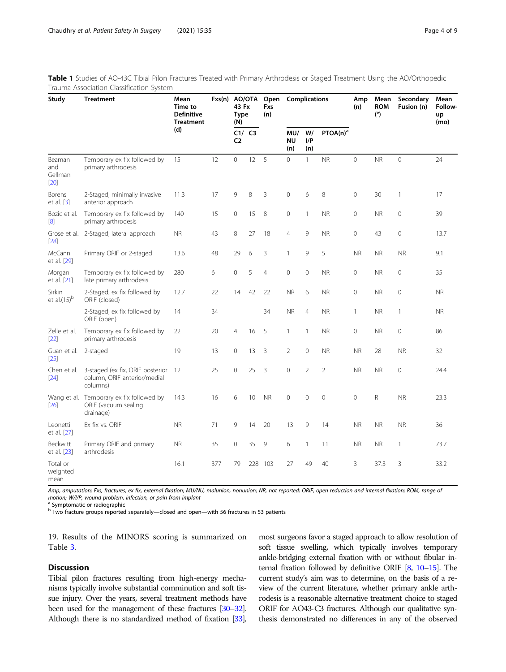<span id="page-4-0"></span>Table 1 Studies of AO-43C Tibial Pilon Fractures Treated with Primary Arthrodesis or Staged Treatment Using the AO/Orthopedic Trauma Association Classification System

| Study                            | <b>Treatment</b>                                                             | Mean<br>Time to<br><b>Definitive</b><br><b>Treatment</b> | Fxs(n) AO/OTA | 43 Fx<br><b>Type</b><br>(N) |        | Open<br>Fxs<br>(n) |                         | Complications    |                      | Amp<br>(n)     | Mean<br><b>ROM</b><br>(°) | Secondary<br>Fusion (n) | Mean<br>Follow-<br>up<br>(mo) |
|----------------------------------|------------------------------------------------------------------------------|----------------------------------------------------------|---------------|-----------------------------|--------|--------------------|-------------------------|------------------|----------------------|----------------|---------------------------|-------------------------|-------------------------------|
|                                  |                                                                              | (d)                                                      |               | C <sub>2</sub>              | C1/ C3 |                    | MU/<br><b>NU</b><br>(n) | W/<br>I/P<br>(n) | PTOA(n) <sup>a</sup> |                |                           |                         |                               |
| Beaman<br>and<br>Gellman<br>[20] | Temporary ex fix followed by<br>primary arthrodesis                          | 15                                                       | 12            | $\circ$                     | 12     | 5                  | $\circ$                 | $\mathbf{1}$     | <b>NR</b>            | $\overline{0}$ | <b>NR</b>                 | $\overline{0}$          | 24                            |
| Borens<br>et al. $[3]$           | 2-Staged, minimally invasive<br>anterior approach                            | 11.3                                                     | 17            | 9                           | 8      | 3                  | $\mathbf 0$             | 6                | 8                    | $\mathbf 0$    | 30                        | 1                       | 17                            |
| Bozic et al.<br>[8]              | Temporary ex fix followed by<br>primary arthrodesis                          | 140                                                      | 15            | $\mathbf{0}$                | 15     | 8                  | $\circ$                 | $\mathbf{1}$     | <b>NR</b>            | $\mathbf 0$    | <b>NR</b>                 | $\mathbf 0$             | 39                            |
| [28]                             | Grose et al. 2-Staged, lateral approach                                      | <b>NR</b>                                                | 43            | 8                           | 27     | 18                 | $\overline{4}$          | 9                | <b>NR</b>            | $\circ$        | 43                        | 0                       | 13.7                          |
| McCann<br>et al. [29]            | Primary ORIF or 2-staged                                                     | 13.6                                                     | 48            | 29                          | 6      | 3                  | 1                       | 9                | 5                    | <b>NR</b>      | <b>NR</b>                 | <b>NR</b>               | 9.1                           |
| Morgan<br>et al. [21]            | Temporary ex fix followed by<br>late primary arthrodesis                     | 280                                                      | 6             | $\mathbf 0$                 | 5      | $\overline{4}$     | $\circ$                 | $\mathbf 0$      | <b>NR</b>            | $\mathbf 0$    | <b>NR</b>                 | 0                       | 35                            |
| Sirkin<br>et al. $(15)^{b}$      | 2-Staged, ex fix followed by<br>ORIF (closed)                                | 12.7                                                     | 22            | 14                          | 42     | 22                 | <b>NR</b>               | 6                | <b>NR</b>            | $\mathbf 0$    | <b>NR</b>                 | $\mathbf 0$             | <b>NR</b>                     |
|                                  | 2-Staged, ex fix followed by<br>ORIF (open)                                  | 14                                                       | 34            |                             |        | 34                 | <b>NR</b>               | $\overline{4}$   | <b>NR</b>            | 1              | <b>NR</b>                 | $\mathbf{1}$            | <b>NR</b>                     |
| Zelle et al.<br>$[22]$           | Temporary ex fix followed by<br>primary arthrodesis                          | 22                                                       | 20            | $\overline{4}$              | 16     | 5                  | $\mathbf{1}$            | $\mathbf{1}$     | <b>NR</b>            | $\mathbf 0$    | <b>NR</b>                 | 0                       | 86                            |
| Guan et al.<br>$[25]$            | 2-staged                                                                     | 19                                                       | 13            | 0                           | 13     | 3                  | $\overline{2}$          | $\mathbf 0$      | <b>NR</b>            | <b>NR</b>      | 28                        | <b>NR</b>               | 32                            |
| Chen et al.<br>$[24]$            | 3-staged (ex fix, ORIF posterior<br>column, ORIF anterior/medial<br>columns) | 12                                                       | 25            | $\mathbf 0$                 | 25     | 3                  | $\mathbf{0}$            | $\overline{2}$   | $\overline{2}$       | <b>NR</b>      | <b>NR</b>                 | 0                       | 24.4                          |
| Wang et al.<br>$[26]$            | Temporary ex fix followed by<br>ORIF (vacuum sealing<br>drainage)            | 14.3                                                     | 16            | 6                           | 10     | <b>NR</b>          | $\circ$                 | $\overline{0}$   | $\mathbf{0}$         | $\overline{0}$ | R                         | <b>NR</b>               | 23.3                          |
| Leonetti<br>et al. [27]          | Ex fix vs. ORIF                                                              | <b>NR</b>                                                | 71            | 9                           | 14     | 20                 | 13                      | 9                | 14                   | <b>NR</b>      | <b>NR</b>                 | <b>NR</b>               | 36                            |
| Beckwitt<br>et al. [23]          | Primary ORIF and primary<br>arthrodesis                                      | <b>NR</b>                                                | 35            | $\mathbb O$                 | 35     | 9                  | 6                       | $\mathbf{1}$     | 11                   | <b>NR</b>      | <b>NR</b>                 | $\mathbf{1}$            | 73.7                          |
| Total or<br>weighted<br>mean     |                                                                              | 16.1                                                     | 377           | 79                          | 228    | 103                | 27                      | 49               | 40                   | 3              | 37.3                      | 3                       | 33.2                          |

Amp, amputation; Fxs, fractures; ex fix, external fixation; MU/NU, malunion, nonunion; NR, not reported; ORIF, open reduction and internal fixation; ROM, range of motion; W/I/P, wound problem, infection, or pain from implant

<sup>a</sup> Symptomatic or radiographic

<sup>b</sup> Two fracture groups reported separately—closed and open—with 56 fractures in 53 patients

19. Results of the MINORS scoring is summarized on Table [3.](#page-6-0)

#### **Discussion**

Tibial pilon fractures resulting from high-energy mechanisms typically involve substantial comminution and soft tissue injury. Over the years, several treatment methods have been used for the management of these fractures [\[30](#page-9-0)–[32\]](#page-9-0). Although there is no standardized method of fixation [\[33\]](#page-9-0),

most surgeons favor a staged approach to allow resolution of soft tissue swelling, which typically involves temporary ankle-bridging external fixation with or without fibular internal fixation followed by definitive ORIF  $[8, 10-15]$  $[8, 10-15]$  $[8, 10-15]$  $[8, 10-15]$  $[8, 10-15]$  $[8, 10-15]$ . The current study's aim was to determine, on the basis of a review of the current literature, whether primary ankle arthrodesis is a reasonable alternative treatment choice to staged ORIF for AO43-C3 fractures. Although our qualitative synthesis demonstrated no differences in any of the observed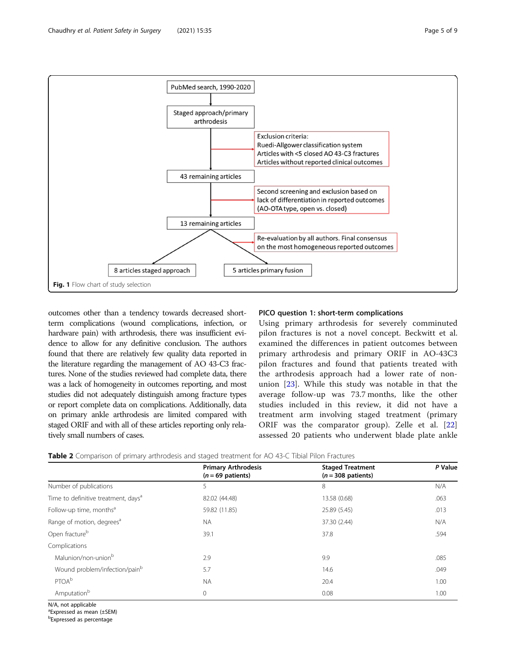<span id="page-5-0"></span>

outcomes other than a tendency towards decreased shortterm complications (wound complications, infection, or hardware pain) with arthrodesis, there was insufficient evidence to allow for any definitive conclusion. The authors found that there are relatively few quality data reported in the literature regarding the management of AO 43-C3 fractures. None of the studies reviewed had complete data, there was a lack of homogeneity in outcomes reporting, and most studies did not adequately distinguish among fracture types or report complete data on complications. Additionally, data on primary ankle arthrodesis are limited compared with staged ORIF and with all of these articles reporting only relatively small numbers of cases.

#### PICO question 1: short-term complications

Using primary arthrodesis for severely comminuted pilon fractures is not a novel concept. Beckwitt et al. examined the differences in patient outcomes between primary arthrodesis and primary ORIF in AO-43C3 pilon fractures and found that patients treated with the arthrodesis approach had a lower rate of nonunion [\[23](#page-9-0)]. While this study was notable in that the average follow-up was 73.7 months, like the other studies included in this review, it did not have a treatment arm involving staged treatment (primary ORIF was the comparator group). Zelle et al. [\[22](#page-9-0)] assessed 20 patients who underwent blade plate ankle

|                                                 | <b>Primary Arthrodesis</b><br>$(n = 69$ patients) | <b>Staged Treatment</b><br>$(n = 308$ patients) | P Value |
|-------------------------------------------------|---------------------------------------------------|-------------------------------------------------|---------|
| Number of publications                          | 5                                                 | 8                                               | N/A     |
| Time to definitive treatment, days <sup>a</sup> | 82.02 (44.48)                                     | 13.58 (0.68)                                    | .063    |
| Follow-up time, months <sup>a</sup>             | 59.82 (11.85)                                     | 25.89 (5.45)                                    | .013    |
| Range of motion, degrees <sup>a</sup>           | <b>NA</b>                                         | 37.30 (2.44)                                    | N/A     |
| Open fracture <sup>b</sup>                      | 39.1                                              | 37.8                                            | .594    |
| Complications                                   |                                                   |                                                 |         |
| Malunion/non-union <sup>b</sup>                 | 2.9                                               | 9.9                                             | .085    |
| Wound problem/infection/painb                   | 5.7                                               | 14.6                                            | .049    |
| <b>PTOA</b> b                                   | <b>NA</b>                                         | 20.4                                            | 1.00    |
| Amputation <sup>b</sup>                         | 0                                                 | 0.08                                            | 1.00    |

Table 2 Comparison of primary arthrodesis and staged treatment for AO 43-C Tibial Pilon Fractures

N/A, not applicable

a Expressed as mean (±SEM)

b Expressed as percentage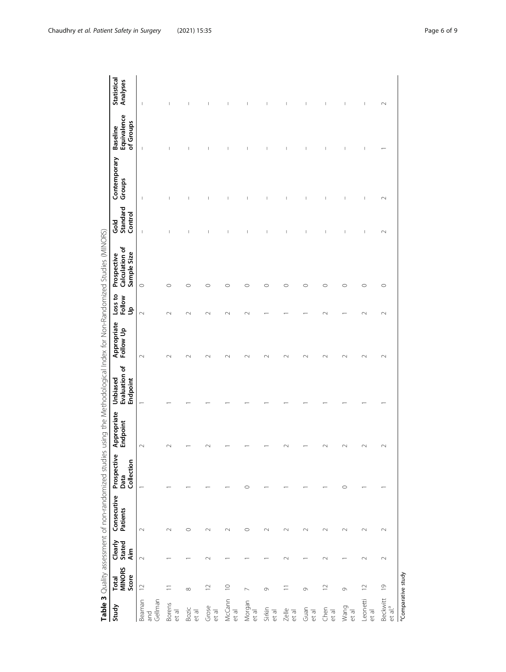<span id="page-6-0"></span>

|                          |                                        |                          |                         |                                   |                         |                                       |                          |                        | Table 3 Quality assessment of non-randomized studies using the Methodological Index for Non-Randomized Studies (MINORS) |                             |                        |                                             |                                       |
|--------------------------|----------------------------------------|--------------------------|-------------------------|-----------------------------------|-------------------------|---------------------------------------|--------------------------|------------------------|-------------------------------------------------------------------------------------------------------------------------|-----------------------------|------------------------|---------------------------------------------|---------------------------------------|
| Study                    | <b>MINORS</b><br>Score<br><b>Total</b> | Clearly<br>Stated<br>Aim | Consecutive<br>Patients | Prospective<br>Collection<br>Data | Appropriate<br>Endpoint | Evaluation of<br>Unbiased<br>Endpoint | Appropriate<br>Follow Up | Loss to<br>Follow<br>å | Calculation of<br>Sample Size<br>Prospective                                                                            | Standard<br>Control<br>Gold | Contemporary<br>Groups | Equivalence<br>of Groups<br><b>Baseline</b> | Statistical<br>Analyses               |
| Gellman<br>Beaman<br>and | $\supseteq$                            | $\sim$                   | $\sim$                  |                                   | $\sim$                  |                                       | $\sim$                   | $\sim$                 | $\circ$                                                                                                                 | I                           |                        | ı                                           | I                                     |
| Borens<br>et al          |                                        |                          | $\sim$                  |                                   |                         |                                       | $\sim$                   | $\sim$                 | $\circ$                                                                                                                 | ı                           | I                      | T                                           | I                                     |
| Bozic<br>et al           | $\infty$                               |                          | $\circ$                 |                                   |                         |                                       | $\scriptstyle\sim$       | $\scriptstyle\sim$     | $\circ$                                                                                                                 | $\mathbf{I}$                |                        | $\mathbf{I}$                                | $\begin{array}{c} \hline \end{array}$ |
| Grose<br>et al           | $\supseteq$                            | $\sim$                   | $\sim$                  |                                   |                         |                                       | $\sim$                   | $\sim$                 | $\circ$                                                                                                                 | J.                          | I                      | I                                           | I                                     |
| McCann<br>et al          | $\supseteq$                            |                          | $\sim$                  |                                   |                         |                                       | $\sim$                   | $\sim$                 | $\circ$                                                                                                                 | ı                           |                        | T                                           | I                                     |
| Morgan<br>et al          | $\overline{ }$                         |                          | $\circ$                 | O                                 |                         |                                       | $\sim$                   | $\sim$                 | $\circ$                                                                                                                 | $\mathbf{I}$                | J                      | Т                                           | $\mathsf{I}$                          |
| Sirkin<br>et al          | 0                                      |                          | $\sim$                  |                                   |                         |                                       | $\sim$                   |                        | $\circ$                                                                                                                 | т                           | I                      | I                                           | I                                     |
| $Z$ elle<br>et al        |                                        | $\sim$                   | $\sim$                  |                                   |                         |                                       |                          |                        | $\circ$                                                                                                                 | I                           | I                      | I                                           | I                                     |
| Guan<br>et al            | $\circ$                                |                          | $\sim$                  |                                   |                         |                                       |                          |                        | $\circ$                                                                                                                 | $\mathbf{I}$                | J                      | $\begin{array}{c} \hline \end{array}$       | J                                     |
| Chen<br>et al            | $\square$                              | $\sim$                   | $\sim$                  |                                   |                         |                                       | $\sim$                   | $\sim$                 | $\circ$                                                                                                                 | т                           | I                      | I                                           | I                                     |
| Wang<br>et al            | $\circ$                                |                          | $\sim$                  | $\circ$                           |                         |                                       |                          |                        | $\circ$                                                                                                                 | T                           | I                      | $\begin{array}{c} \hline \end{array}$       | $\begin{array}{c} \hline \end{array}$ |
| Leonetti<br>et al        | $\supseteq$                            | $\sim$                   | $\sim$                  |                                   |                         |                                       |                          | $\sim$                 | $\circ$                                                                                                                 | $\mathbf{I}$                | $\mid$                 | T                                           | $\mid$                                |

 $\mathcal{L}$ 

Beckwitt<br>et al.<sup>a</sup>

<sup>a</sup>Comparative study

 $\sim$ 

 $\leftarrow$ 

 $\scriptstyle\sim$ 

 $\leftarrow$ 

 $\sim$ 

 $\sim$ 

 $\sim$ 

 $\overline{a}$ 

 $\sim$ 

 $\sim$ 

 $\circ$ 

 $\sim$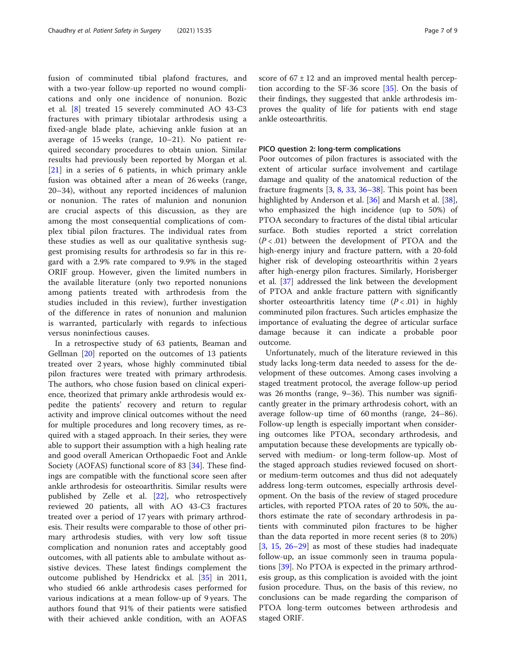fusion of comminuted tibial plafond fractures, and with a two-year follow-up reported no wound complications and only one incidence of nonunion. Bozic et al. [\[8](#page-8-0)] treated 15 severely comminuted AO 43-C3 fractures with primary tibiotalar arthrodesis using a fixed-angle blade plate, achieving ankle fusion at an average of 15 weeks (range, 10–21). No patient required secondary procedures to obtain union. Similar results had previously been reported by Morgan et al. [[21\]](#page-9-0) in a series of 6 patients, in which primary ankle fusion was obtained after a mean of 26 weeks (range, 20–34), without any reported incidences of malunion or nonunion. The rates of malunion and nonunion are crucial aspects of this discussion, as they are among the most consequential complications of complex tibial pilon fractures. The individual rates from these studies as well as our qualitative synthesis suggest promising results for arthrodesis so far in this regard with a 2.9% rate compared to 9.9% in the staged ORIF group. However, given the limited numbers in the available literature (only two reported nonunions among patients treated with arthrodesis from the studies included in this review), further investigation of the difference in rates of nonunion and malunion is warranted, particularly with regards to infectious versus noninfectious causes.

In a retrospective study of 63 patients, Beaman and Gellman [\[20\]](#page-9-0) reported on the outcomes of 13 patients treated over 2 years, whose highly comminuted tibial pilon fractures were treated with primary arthrodesis. The authors, who chose fusion based on clinical experience, theorized that primary ankle arthrodesis would expedite the patients' recovery and return to regular activity and improve clinical outcomes without the need for multiple procedures and long recovery times, as required with a staged approach. In their series, they were able to support their assumption with a high healing rate and good overall American Orthopaedic Foot and Ankle Society (AOFAS) functional score of 83 [\[34](#page-9-0)]. These findings are compatible with the functional score seen after ankle arthrodesis for osteoarthritis. Similar results were published by Zelle et al. [[22](#page-9-0)], who retrospectively reviewed 20 patients, all with AO 43-C3 fractures treated over a period of 17 years with primary arthrodesis. Their results were comparable to those of other primary arthrodesis studies, with very low soft tissue complication and nonunion rates and acceptably good outcomes, with all patients able to ambulate without assistive devices. These latest findings complement the outcome published by Hendrickx et al. [[35\]](#page-9-0) in 2011, who studied 66 ankle arthrodesis cases performed for various indications at a mean follow-up of 9 years. The authors found that 91% of their patients were satisfied with their achieved ankle condition, with an AOFAS score of  $67 \pm 12$  and an improved mental health perception according to the SF-36 score [[35\]](#page-9-0). On the basis of their findings, they suggested that ankle arthrodesis improves the quality of life for patients with end stage ankle osteoarthritis.

#### PICO question 2: long-term complications

Poor outcomes of pilon fractures is associated with the extent of articular surface involvement and cartilage damage and quality of the anatomical reduction of the fracture fragments  $[3, 8, 33, 36-38]$  $[3, 8, 33, 36-38]$  $[3, 8, 33, 36-38]$  $[3, 8, 33, 36-38]$  $[3, 8, 33, 36-38]$  $[3, 8, 33, 36-38]$  $[3, 8, 33, 36-38]$  $[3, 8, 33, 36-38]$  $[3, 8, 33, 36-38]$  $[3, 8, 33, 36-38]$ . This point has been highlighted by Anderson et al. [[36](#page-9-0)] and Marsh et al. [\[38](#page-9-0)], who emphasized the high incidence (up to 50%) of PTOA secondary to fractures of the distal tibial articular surface. Both studies reported a strict correlation  $(P < .01)$  between the development of PTOA and the high-energy injury and fracture pattern, with a 20-fold higher risk of developing osteoarthritis within 2 years after high-energy pilon fractures. Similarly, Horisberger et al. [[37\]](#page-9-0) addressed the link between the development of PTOA and ankle fracture pattern with significantly shorter osteoarthritis latency time  $(P < .01)$  in highly comminuted pilon fractures. Such articles emphasize the importance of evaluating the degree of articular surface damage because it can indicate a probable poor outcome.

Unfortunately, much of the literature reviewed in this study lacks long-term data needed to assess for the development of these outcomes. Among cases involving a staged treatment protocol, the average follow-up period was 26 months (range, 9–36). This number was significantly greater in the primary arthrodesis cohort, with an average follow-up time of 60 months (range, 24–86). Follow-up length is especially important when considering outcomes like PTOA, secondary arthrodesis, and amputation because these developments are typically observed with medium- or long-term follow-up. Most of the staged approach studies reviewed focused on shortor medium-term outcomes and thus did not adequately address long-term outcomes, especially arthrosis development. On the basis of the review of staged procedure articles, with reported PTOA rates of 20 to 50%, the authors estimate the rate of secondary arthrodesis in patients with comminuted pilon fractures to be higher than the data reported in more recent series (8 to 20%) [[3,](#page-8-0) [15,](#page-9-0) [26](#page-9-0)–[29\]](#page-9-0) as most of these studies had inadequate follow-up, an issue commonly seen in trauma populations [[39\]](#page-9-0). No PTOA is expected in the primary arthrodesis group, as this complication is avoided with the joint fusion procedure. Thus, on the basis of this review, no conclusions can be made regarding the comparison of PTOA long-term outcomes between arthrodesis and staged ORIF.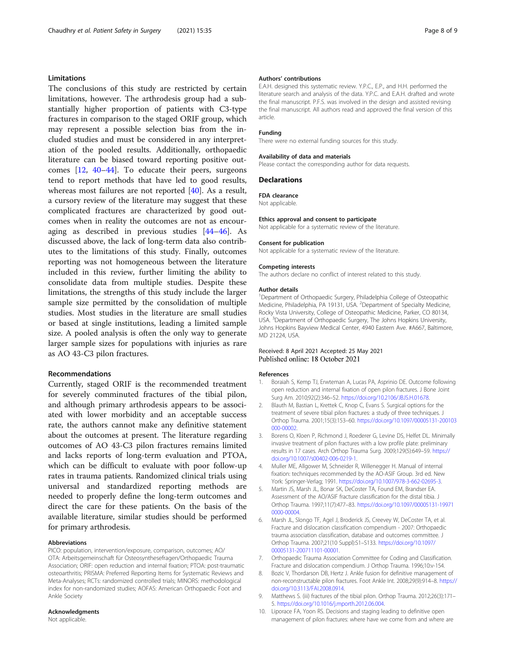#### <span id="page-8-0"></span>Limitations

The conclusions of this study are restricted by certain limitations, however. The arthrodesis group had a substantially higher proportion of patients with C3-type fractures in comparison to the staged ORIF group, which may represent a possible selection bias from the included studies and must be considered in any interpretation of the pooled results. Additionally, orthopaedic literature can be biased toward reporting positive outcomes [\[12](#page-9-0), [40](#page-9-0)–[44\]](#page-9-0). To educate their peers, surgeons tend to report methods that have led to good results, whereas most failures are not reported [[40](#page-9-0)]. As a result, a cursory review of the literature may suggest that these complicated fractures are characterized by good outcomes when in reality the outcomes are not as encouraging as described in previous studies [[44](#page-9-0)–[46](#page-9-0)]. As discussed above, the lack of long-term data also contributes to the limitations of this study. Finally, outcomes reporting was not homogeneous between the literature included in this review, further limiting the ability to consolidate data from multiple studies. Despite these limitations, the strengths of this study include the larger sample size permitted by the consolidation of multiple studies. Most studies in the literature are small studies or based at single institutions, leading a limited sample size. A pooled analysis is often the only way to generate larger sample sizes for populations with injuries as rare as AO 43-C3 pilon fractures.

#### Recommendations

Currently, staged ORIF is the recommended treatment for severely comminuted fractures of the tibial pilon, and although primary arthrodesis appears to be associated with lower morbidity and an acceptable success rate, the authors cannot make any definitive statement about the outcomes at present. The literature regarding outcomes of AO 43-C3 pilon fractures remains limited and lacks reports of long-term evaluation and PTOA, which can be difficult to evaluate with poor follow-up rates in trauma patients. Randomized clinical trials using universal and standardized reporting methods are needed to properly define the long-term outcomes and direct the care for these patients. On the basis of the available literature, similar studies should be performed for primary arthrodesis.

#### Abbreviations

PICO: population, intervention/exposure, comparison, outcomes; AO/ OTA: Arbeitsgemeinschaft für Osteosynthesefragen/Orthopaedic Trauma Association; ORIF: open reduction and internal fixation; PTOA: post-traumatic osteoarthritis; PRISMA: Preferred Reporting Items for Systematic Reviews and Meta-Analyses; RCTs: randomized controlled trials; MINORS: methodological index for non-randomized studies; AOFAS: American Orthopaedic Foot and Ankle Society

#### Acknowledgments

Not applicable.

#### Authors' contributions

E.A.H. designed this systematic review. Y.P.C., E.P., and H.H. performed the literature search and analysis of the data. Y.P.C. and E.A.H. drafted and wrote the final manuscript. P.F.S. was involved in the design and assisted revising the final manuscript. All authors read and approved the final version of this article.

#### Funding

There were no external funding sources for this study.

#### Availability of data and materials

Please contact the corresponding author for data requests.

#### Declarations

FDA clearance

Not applicable.

#### Ethics approval and consent to participate

Not applicable for a systematic review of the literature.

#### Consent for publication

Not applicable for a systematic review of the literature.

#### Competing interests

The authors declare no conflict of interest related to this study.

#### Author details

<sup>1</sup>Department of Orthopaedic Surgery, Philadelphia College of Osteopathic Medicine, Philadelphia, PA 19131, USA. <sup>2</sup>Department of Specialty Medicine Rocky Vista University, College of Osteopathic Medicine, Parker, CO 80134, USA.<sup>3</sup> Department of Orthopaedic Surgery, The Johns Hopkins University Johns Hopkins Bayview Medical Center, 4940 Eastern Ave. #A667, Baltimore, MD 21224, USA.

#### Received: 8 April 2021 Accepted: 25 May 2021 Published online: 18 October 2021

#### References

- 1. Boraiah S, Kemp TJ, Erwteman A, Lucas PA, Asprinio DE. Outcome following open reduction and internal fixation of open pilon fractures. J Bone Joint Surg Am. 2010;92(2):346–52. [https://doi.org/10.2106/JBJS.H.01678.](https://doi.org/10.2106/JBJS.H.01678)
- 2. Blauth M, Bastian L, Krettek C, Knop C, Evans S. Surgical options for the treatment of severe tibial pilon fractures: a study of three techniques. Orthop Trauma. 2001;15(3):153–60. [https://doi.org/10.1097/00005131-200103](https://doi.org/10.1097/00005131-200103000-00002) [000-00002](https://doi.org/10.1097/00005131-200103000-00002).
- 3. Borens O, Kloen P, Richmond J, Roederer G, Levine DS, Helfet DL. Minimally invasive treatment of pilon fractures with a low profile plate: preliminary results in 17 cases. Arch Orthop Trauma Surg. 2009;129(5):649–59. [https://](https://doi.org/10.1007/s00402-006-0219-1) [doi.org/10.1007/s00402-006-0219-1.](https://doi.org/10.1007/s00402-006-0219-1)
- 4. Muller ME, Allgower M, Schneider R, Willenegger H. Manual of internal fixation: techniques recommended by the AO-ASIF Group. 3rd ed. New York: Springer-Verlag; 1991. <https://doi.org/10.1007/978-3-662-02695-3>.
- 5. Martin JS, Marsh JL, Bonar SK, DeCoster TA, Found EM, Brandser EA. Assessment of the AO/ASIF fracture classification for the distal tibia. J Orthop Trauma. 1997;11(7):477–83. [https://doi.org/10.1097/00005131-19971](https://doi.org/10.1097/00005131-199710000-00004) [0000-00004.](https://doi.org/10.1097/00005131-199710000-00004)
- 6. Marsh JL, Slongo TF, Agel J, Broderick JS, Creevey W, DeCoster TA, et al. Fracture and dislocation classification compendium - 2007: Orthopaedic trauma association classification, database and outcomes committee. J Orthop Trauma. 2007;21(10 Suppl):S1–S133. [https://doi.org/10.1097/](https://doi.org/10.1097/00005131-200711101-00001) [00005131-200711101-00001.](https://doi.org/10.1097/00005131-200711101-00001)
- 7. Orthopaedic Trauma Association Committee for Coding and Classification. Fracture and dislocation compendium. J Orthop Trauma. 1996;10:v-154.
- 8. Bozic V, Thordarson DB, Hertz J. Ankle fusion for definitive management of non-reconstructable pilon fractures. Foot Ankle Int. 2008;29(9):914–8. [https://](https://doi.org/10.3113/FAI.2008.0914) [doi.org/10.3113/FAI.2008.0914.](https://doi.org/10.3113/FAI.2008.0914)
- 9. Matthews S. (iii) fractures of the tibial pilon. Orthop Trauma. 2012;26(3):171– 5. <https://doi.org/10.1016/j.mporth.2012.06.004>.
- 10. Liporace FA, Yoon RS. Decisions and staging leading to definitive open management of pilon fractures: where have we come from and where are